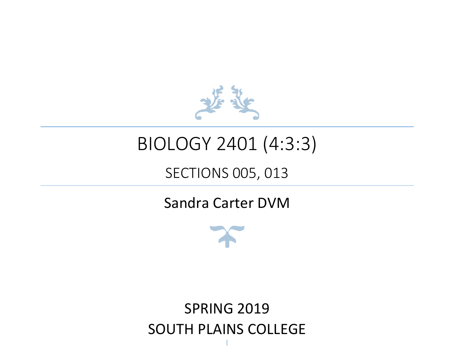

# BIOLOGY 2401 (4:3:3)

### SECTIONS 005, 013

### Sandra Carter DVM



## **SPRING 2019** SOUTH PLAINS COLLEGE

[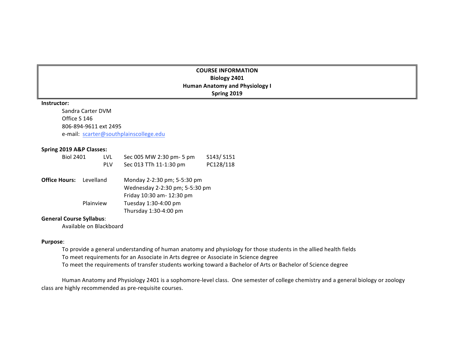#### **COURSE INFORMATION Biology 2401 Human Anatomy and Physiology I Spring 2019**

#### **Instructor:**

Sandra Carter DVM Office S 146 806-894-9611 ext 2495 e-mail: scarter@southplainscollege.edu

#### **Spring 2019 A&P Classes:**

| <b>Biol 2401</b>     | LVL        |  | Sec 005 MW 2:30 pm- 5 pm       | S143/S151 |  |
|----------------------|------------|--|--------------------------------|-----------|--|
|                      | <b>PLV</b> |  | Sec 013 TTh 11-1:30 pm         | PC128/118 |  |
| <b>Office Hours:</b> | Levelland  |  | Monday 2-2:30 pm; 5-5:30 pm    |           |  |
|                      |            |  | Wednesday 2-2:30 pm; 5-5:30 pm |           |  |
|                      |            |  | Friday 10:30 am- 12:30 pm      |           |  |
|                      | Plainview  |  | Tuesday 1:30-4:00 pm           |           |  |
|                      |            |  | Thursday 1:30-4:00 pm          |           |  |

#### **General Course Syllabus**:

Available on Blackboard

#### **Purpose**:

- To provide a general understanding of human anatomy and physiology for those students in the allied health fields
- To meet requirements for an Associate in Arts degree or Associate in Science degree
- To meet the requirements of transfer students working toward a Bachelor of Arts or Bachelor of Science degree

Human Anatomy and Physiology 2401 is a sophomore-level class. One semester of college chemistry and a general biology or zoology class are highly recommended as pre-requisite courses.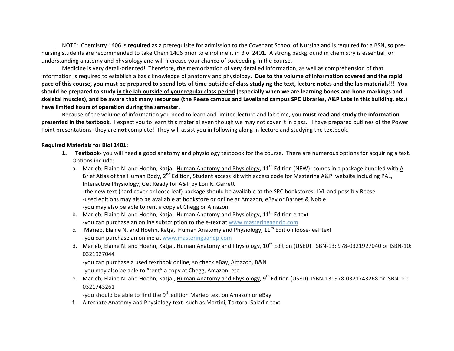NOTE: Chemistry 1406 is **required** as a prerequisite for admission to the Covenant School of Nursing and is required for a BSN, so prenursing students are recommended to take Chem 1406 prior to enrollment in Biol 2401. A strong background in chemistry is essential for understanding anatomy and physiology and will increase your chance of succeeding in the course.

Medicine is very detail-oriented! Therefore, the memorization of very detailed information, as well as comprehension of that information is required to establish a basic knowledge of anatomy and physiology. Due to the volume of information covered and the rapid pace of this course, you must be prepared to spend lots of time outside of class studying the text, lecture notes and the lab materials!!! You should be prepared to study in the lab outside of your regular class period (especially when we are learning bones and bone markings and skeletal muscles), and be aware that many resources (the Reese campus and Levelland campus SPC Libraries, A&P Labs in this building, etc.) have limited hours of operation during the semester.

Because of the volume of information you need to learn and limited lecture and lab time, you **must read and study the information presented in the textbook**. I expect you to learn this material even though we may not cover it in class. I have prepared outlines of the Power Point presentations- they are **not** complete! They will assist you in following along in lecture and studying the textbook.

#### **Required Materials for Biol 2401:**

- **1. Textbook-** you will need a good anatomy and physiology textbook for the course. There are numerous options for acquiring a text. Options include:
	- a. Marieb, Elaine N. and Hoehn, Katja, Human Anatomy and Physiology, 11<sup>th</sup> Edition (NEW)- comes in a package bundled with A Brief Atlas of the Human Body, 2<sup>nd</sup> Edition, Student access kit with access code for Mastering A&P website including PAL, Interactive Physiology, Get Ready for A&P by Lori K. Garrett -the new text (hard cover or loose leaf) package should be available at the SPC bookstores- LVL and possibly Reese -used editions may also be available at bookstore or online at Amazon, eBay or Barnes & Noble -you may also be able to rent a copy at Chegg or Amazon
	- b. Marieb, Elaine N. and Hoehn, Katja, Human Anatomy and Physiology,  $11<sup>th</sup>$  Edition e-text -you can purchase an online subscription to the e-text at www.masteringaandp.com
	- c. Marieb, Elaine N. and Hoehn, Katja, Human Anatomy and Physiology,  $11<sup>th</sup>$  Edition loose-leaf text -you can purchase an online at www.masteringaandp.com
	- d. Marieb, Elaine N. and Hoehn, Katja., Human Anatomy and Physiology, 10<sup>th</sup> Edition (USED). ISBN-13: 978-0321927040 or ISBN-10: 0321927044

-you can purchase a used textbook online, so check eBay, Amazon, B&N -you may also be able to "rent" a copy at Chegg, Amazon, etc.

e. Marieb, Elaine N. and Hoehn, Katja., Human Anatomy and Physiology, 9<sup>th</sup> Edition (USED). ISBN-13: 978-0321743268 or ISBN-10: 0321743261

-you should be able to find the  $9^{th}$  edition Marieb text on Amazon or eBay

f. Alternate Anatomy and Physiology text- such as Martini, Tortora, Saladin text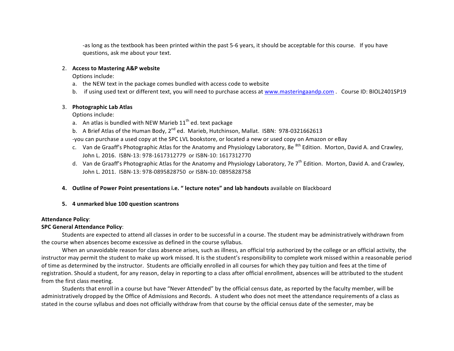-as long as the textbook has been printed within the past 5-6 years, it should be acceptable for this course. If you have questions, ask me about your text.

#### 2. Access to Mastering A&P website

Options include:

- a. the NEW text in the package comes bundled with access code to website
- b. if using used text or different text, you will need to purchase access at www.masteringaandp.com . Course ID: BIOL2401SP19

#### 3. **Photographic Lab Atlas**

Options include:

- a. An atlas is bundled with NEW Marieb  $11<sup>th</sup>$  ed. text package
- b. A Brief Atlas of the Human Body,  $2^{nd}$  ed. Marieb, Hutchinson, Mallat. ISBN: 978-0321662613

-you can purchase a used copy at the SPC LVL bookstore, or located a new or used copy on Amazon or eBay

- c. Van de Graaff's Photographic Atlas for the Anatomy and Physiology Laboratory, 8e <sup>8th</sup> Edition. Morton, David A. and Crawley, John L. 2016. ISBN-13: 978-1617312779 or ISBN-10: 1617312770
- d. Van de Graaff's Photographic Atlas for the Anatomy and Physiology Laboratory, 7e  $7^{\text{th}}$  Edition. Morton, David A. and Crawley, John L. 2011. ISBN-13: 978-0895828750 or ISBN-10: 0895828758
- **4.** Outline of Power Point presentations i.e. " lecture notes" and lab handouts available on Blackboard
- **5. 4 unmarked blue 100 question scantrons**

#### **Attendance Policy**:

#### **SPC General Attendance Policy:**

Students are expected to attend all classes in order to be successful in a course. The student may be administratively withdrawn from the course when absences become excessive as defined in the course syllabus.

When an unavoidable reason for class absence arises, such as illness, an official trip authorized by the college or an official activity, the instructor may permit the student to make up work missed. It is the student's responsibility to complete work missed within a reasonable period of time as determined by the instructor. Students are officially enrolled in all courses for which they pay tuition and fees at the time of registration. Should a student, for any reason, delay in reporting to a class after official enrollment, absences will be attributed to the student from the first class meeting.

Students that enroll in a course but have "Never Attended" by the official census date, as reported by the faculty member, will be administratively dropped by the Office of Admissions and Records. A student who does not meet the attendance requirements of a class as stated in the course syllabus and does not officially withdraw from that course by the official census date of the semester, may be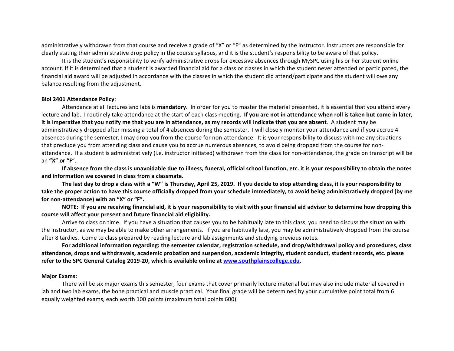administratively withdrawn from that course and receive a grade of "X" or "F" as determined by the instructor. Instructors are responsible for clearly stating their administrative drop policy in the course syllabus, and it is the student's responsibility to be aware of that policy.

It is the student's responsibility to verify administrative drops for excessive absences through MySPC using his or her student online account. If it is determined that a student is awarded financial aid for a class or classes in which the student never attended or participated, the financial aid award will be adjusted in accordance with the classes in which the student did attend/participate and the student will owe any balance resulting from the adjustment.

#### **Biol 2401 Attendance Policy**:

Attendance at all lectures and labs is mandatory. In order for you to master the material presented, it is essential that you attend every lecture and lab. I routinely take attendance at the start of each class meeting. If you are not in attendance when roll is taken but come in later, it is imperative that you notify me that you are in attendance, as my records will indicate that you are absent. A student may be administratively dropped after missing a total of 4 absences during the semester. I will closely monitor your attendance and if you accrue 4 absences during the semester, I may drop you from the course for non-attendance. It is your responsibility to discuss with me any situations that preclude you from attending class and cause you to accrue numerous absences, to avoid being dropped from the course for nonattendance. If a student is administratively (i.e. instructor initiated) withdrawn from the class for non-attendance, the grade on transcript will be an **"X" or "F**". 

If absence from the class is unavoidable due to illness, funeral, official school function, etc. it is your responsibility to obtain the notes and information we covered in class from a classmate.

The last day to drop a class with a "W" is Thursday, April 25, 2019. If you decide to stop attending class, it is your responsibility to take the proper action to have this course officially dropped from your schedule immediately, to avoid being administratively dropped (by me for non-attendance) with an "X" or "F".

NOTE: If you are receiving financial aid, it is your responsibility to visit with your financial aid advisor to determine how dropping this course will affect your present and future financial aid eligibility.

Arrive to class on time. If you have a situation that causes you to be habitually late to this class, you need to discuss the situation with the instructor, as we may be able to make other arrangements. If you are habitually late, you may be administratively dropped from the course after 8 tardies. Come to class prepared by reading lecture and lab assignments and studying previous notes.

For additional information regarding: the semester calendar, registration schedule, and drop/withdrawal policy and procedures, class attendance, drops and withdrawals, academic probation and suspension, academic integrity, student conduct, student records, etc. please refer to the SPC General Catalog 2019-20, which is available online at www.southplainscollege.edu.

#### **Major Exams:**

There will be six major exams this semester, four exams that cover primarily lecture material but may also include material covered in lab and two lab exams, the bone practical and muscle practical. Your final grade will be determined by your cumulative point total from 6 equally weighted exams, each worth 100 points (maximum total points 600).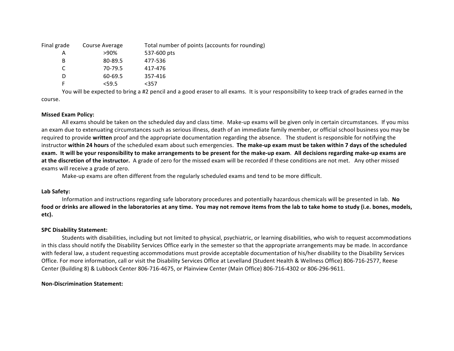| Final grade | Course Average | Total number of points (accounts for rounding) |
|-------------|----------------|------------------------------------------------|
| А           | >90%           | 537-600 pts                                    |
| B           | 80-89.5        | 477-536                                        |
| C           | 70-79.5        | 417-476                                        |
|             | 60-69.5        | 357-416                                        |
|             | $<$ 59.5       | $357$                                          |

You will be expected to bring a #2 pencil and a good eraser to all exams. It is your responsibility to keep track of grades earned in the course. 

#### **Missed Exam Policy:**

All exams should be taken on the scheduled day and class time. Make-up exams will be given only in certain circumstances. If you miss an exam due to extenuating circumstances such as serious illness, death of an immediate family member, or official school business you may be required to provide written proof and the appropriate documentation regarding the absence. The student is responsible for notifying the instructor within 24 hours of the scheduled exam about such emergencies. The make-up exam must be taken within 7 days of the scheduled exam. It will be your responsibility to make arrangements to be present for the make-up exam. All decisions regarding make-up exams are **at the discretion of the instructor.** A grade of zero for the missed exam will be recorded if these conditions are not met. Any other missed exams will receive a grade of zero.

Make-up exams are often different from the regularly scheduled exams and tend to be more difficult.

#### **Lab Safety:**

Information and instructions regarding safe laboratory procedures and potentially hazardous chemicals will be presented in lab. No food or drinks are allowed in the laboratories at any time. You may not remove items from the lab to take home to study (i.e. bones, models, **etc).**

#### **SPC Disability Statement:**

Students with disabilities, including but not limited to physical, psychiatric, or learning disabilities, who wish to request accommodations in this class should notify the Disability Services Office early in the semester so that the appropriate arrangements may be made. In accordance with federal law, a student requesting accommodations must provide acceptable documentation of his/her disability to the Disability Services Office. For more information, call or visit the Disability Services Office at Levelland (Student Health & Wellness Office) 806-716-2577, Reese Center (Building 8) & Lubbock Center 806-716-4675, or Plainview Center (Main Office) 806-716-4302 or 806-296-9611.

#### **Non-Discrimination Statement:**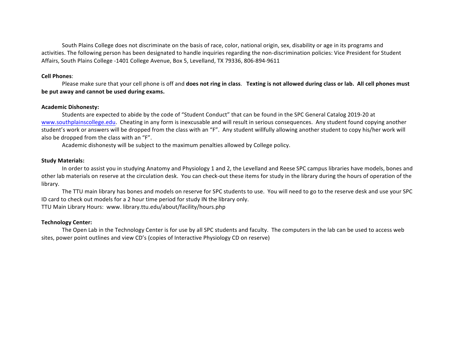South Plains College does not discriminate on the basis of race, color, national origin, sex, disability or age in its programs and activities. The following person has been designated to handle inquiries regarding the non-discrimination policies: Vice President for Student Affairs, South Plains College -1401 College Avenue, Box 5, Levelland, TX 79336, 806-894-9611

#### **Cell Phones**:

Please make sure that your cell phone is off and **does not ring in class.** Texting is not allowed during class or lab. All cell phones must be put away and cannot be used during exams.

#### **Academic Dishonesty:**

Students are expected to abide by the code of "Student Conduct" that can be found in the SPC General Catalog 2019-20 at www.southplainscollege.edu. Cheating in any form is inexcusable and will result in serious consequences. Any student found copying another student's work or answers will be dropped from the class with an "F". Any student willfully allowing another student to copy his/her work will also be dropped from the class with an "F".

Academic dishonesty will be subject to the maximum penalties allowed by College policy.

#### **Study Materials:**

In order to assist you in studying Anatomy and Physiology 1 and 2, the Levelland and Reese SPC campus libraries have models, bones and other lab materials on reserve at the circulation desk. You can check-out these items for study in the library during the hours of operation of the library. 

The TTU main library has bones and models on reserve for SPC students to use. You will need to go to the reserve desk and use your SPC ID card to check out models for a 2 hour time period for study IN the library only.

TTU Main Library Hours: www. library.ttu.edu/about/facility/hours.php

#### **Technology Center:**

The Open Lab in the Technology Center is for use by all SPC students and faculty. The computers in the lab can be used to access web sites, power point outlines and view CD's (copies of Interactive Physiology CD on reserve)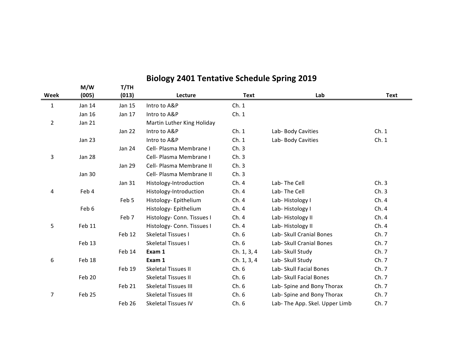|                | M/W           | T/TH          |                             |             |                               |             |
|----------------|---------------|---------------|-----------------------------|-------------|-------------------------------|-------------|
| Week           | (005)         | (013)         | Lecture                     | <b>Text</b> | Lab                           | <b>Text</b> |
| $\mathbf{1}$   | Jan 14        | Jan 15        | Intro to A&P                | Ch.1        |                               |             |
|                | <b>Jan 16</b> | Jan 17        | Intro to A&P                | Ch.1        |                               |             |
| $\overline{2}$ | Jan 21        |               | Martin Luther King Holiday  |             |                               |             |
|                |               | <b>Jan 22</b> | Intro to A&P                | Ch.1        | Lab- Body Cavities            | Ch.1        |
|                | Jan 23        |               | Intro to A&P                | Ch.1        | Lab- Body Cavities            | Ch.1        |
|                |               | <b>Jan 24</b> | Cell- Plasma Membrane I     | Ch.3        |                               |             |
| 3              | <b>Jan 28</b> |               | Cell- Plasma Membrane I     | Ch.3        |                               |             |
|                |               | <b>Jan 29</b> | Cell- Plasma Membrane II    | Ch.3        |                               |             |
|                | Jan 30        |               | Cell- Plasma Membrane II    | Ch.3        |                               |             |
|                |               | Jan 31        | Histology-Introduction      | Ch.4        | Lab-The Cell                  | Ch.3        |
| 4              | Feb 4         |               | Histology-Introduction      | Ch.4        | Lab-The Cell                  | Ch.3        |
|                |               | Feb 5         | Histology-Epithelium        | Ch.4        | Lab-Histology I               | Ch.4        |
|                | Feb 6         |               | Histology-Epithelium        | Ch.4        | Lab-Histology I               | Ch.4        |
|                |               | Feb 7         | Histology- Conn. Tissues I  | Ch.4        | Lab-Histology II              | Ch.4        |
| 5              | Feb 11        |               | Histology- Conn. Tissues I  | Ch.4        | Lab-Histology II              | Ch.4        |
|                |               | Feb 12        | <b>Skeletal Tissues I</b>   | Ch.6        | Lab- Skull Cranial Bones      | Ch. 7       |
|                | Feb 13        |               | Skeletal Tissues I          | Ch.6        | Lab- Skull Cranial Bones      | Ch. 7       |
|                |               | Feb 14        | Exam 1                      | Ch. 1, 3, 4 | Lab- Skull Study              | Ch. 7       |
| 6              | Feb 18        |               | Exam 1                      | Ch. 1, 3, 4 | Lab- Skull Study              | Ch. 7       |
|                |               | Feb 19        | <b>Skeletal Tissues II</b>  | Ch.6        | Lab- Skull Facial Bones       | Ch. 7       |
|                | Feb 20        |               | Skeletal Tissues II         | Ch.6        | Lab- Skull Facial Bones       | Ch. 7       |
|                |               | Feb 21        | <b>Skeletal Tissues III</b> | Ch.6        | Lab- Spine and Bony Thorax    | Ch. 7       |
| 7              | Feb 25        |               | <b>Skeletal Tissues III</b> | Ch.6        | Lab- Spine and Bony Thorax    | Ch. 7       |
|                |               | Feb 26        | <b>Skeletal Tissues IV</b>  | Ch.6        | Lab-The App. Skel. Upper Limb | Ch. 7       |

### **Biology 2401 Tentative Schedule Spring 2019**